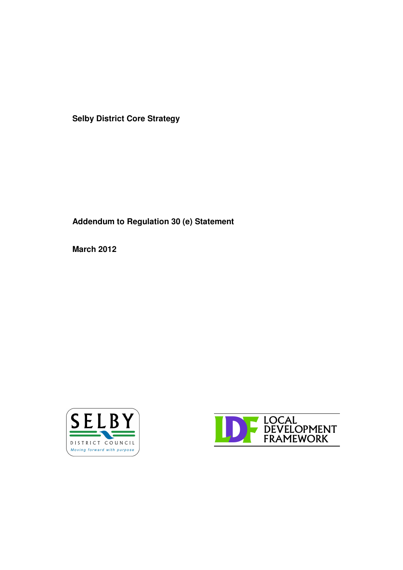**Selby District Core Strategy**

**Addendum to Regulation 30 (e) Statement**

**March 2012**



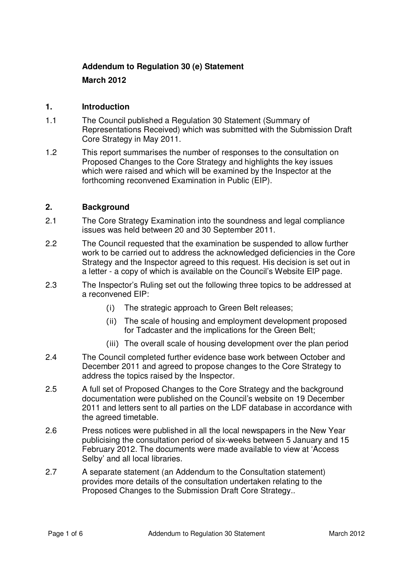# **Addendum to Regulation 30 (e) Statement**

**March 2012**

## **1. Introduction**

- 1.1 The Council published a Regulation 30 Statement (Summary of Representations Received) which was submitted with the Submission Draft Core Strategy in May 2011.
- 1.2 This report summarises the number of responses to the consultation on Proposed Changes to the Core Strategy and highlights the key issues which were raised and which will be examined by the Inspector at the forthcoming reconvened Examination in Public (EIP).

## **2. Background**

- 2.1 The Core Strategy Examination into the soundness and legal compliance issues was held between 20 and 30 September 2011.
- 2.2 The Council requested that the examination be suspended to allow further work to be carried out to address the acknowledged deficiencies in the Core Strategy and the Inspector agreed to this request. His decision is set out in a letter - a copy of which is available on the Council's Website EIP page.
- 2.3 The Inspector's Ruling set out the following three topics to be addressed at a reconvened EIP:
	- The strategic approach to Green Belt releases;
	- (ii) The scale of housing and employment development proposed for Tadcaster and the implications for the Green Belt;
	- (iii) The overall scale of housing development over the plan period
- 2.4 The Council completed further evidence base work between October and December 2011 and agreed to propose changes to the Core Strategy to address the topics raised by the Inspector.
- 2.5 A full set of Proposed Changes to the Core Strategy and the background documentation were published on the Council's website on 19 December 2011 and letters sent to all parties on the LDF database in accordance with the agreed timetable.
- 2.6 Press notices were published in all the local newspapers in the New Year publicising the consultation period of six-weeks between 5 January and 15 February 2012. The documents were made available to view at 'Access Selby' and all local libraries.
- 2.7 A separate statement (an Addendum to the Consultation statement) provides more details of the consultation undertaken relating to the Proposed Changes to the Submission Draft Core Strategy..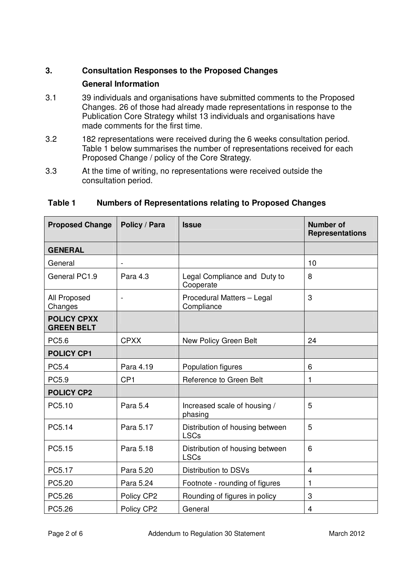# **3. Consultation Responses to the Proposed Changes**

## **General Information**

- 3.1 39 individuals and organisations have submitted comments to the Proposed Changes. 26 of those had already made representations in response to the Publication Core Strategy whilst 13 individuals and organisations have made comments for the first time.
- 3.2 182 representations were received during the 6 weeks consultation period. Table 1 below summarises the number of representations received for each Proposed Change / policy of the Core Strategy.
- 3.3 At the time of writing, no representations were received outside the consultation period.

| <b>Proposed Change</b>                  | Policy / Para   | <b>Issue</b>                                   | <b>Number of</b><br><b>Representations</b> |
|-----------------------------------------|-----------------|------------------------------------------------|--------------------------------------------|
| <b>GENERAL</b>                          |                 |                                                |                                            |
| General                                 |                 |                                                | 10                                         |
| General PC1.9                           | Para 4.3        | Legal Compliance and Duty to<br>Cooperate      | 8                                          |
| All Proposed<br>Changes                 |                 | Procedural Matters - Legal<br>Compliance       | 3                                          |
| <b>POLICY CPXX</b><br><b>GREEN BELT</b> |                 |                                                |                                            |
| PC5.6                                   | <b>CPXX</b>     | New Policy Green Belt                          | 24                                         |
| <b>POLICY CP1</b>                       |                 |                                                |                                            |
| <b>PC5.4</b>                            | Para 4.19       | Population figures                             | 6                                          |
| PC5.9                                   | CP <sub>1</sub> | Reference to Green Belt                        | 1                                          |
| <b>POLICY CP2</b>                       |                 |                                                |                                            |
| PC5.10                                  | Para 5.4        | Increased scale of housing /<br>phasing        | 5                                          |
| PC5.14                                  | Para 5.17       | Distribution of housing between<br><b>LSCs</b> | 5                                          |
| PC5.15                                  | Para 5.18       | Distribution of housing between<br><b>LSCs</b> | 6                                          |
| PC5.17                                  | Para 5.20       | Distribution to DSVs                           | $\overline{4}$                             |
| PC5.20                                  | Para 5.24       | Footnote - rounding of figures                 | 1                                          |
| PC5.26                                  | Policy CP2      | Rounding of figures in policy                  | 3                                          |
| PC5.26                                  | Policy CP2      | General                                        | 4                                          |

## **Table 1 Numbers of Representations relating to Proposed Changes**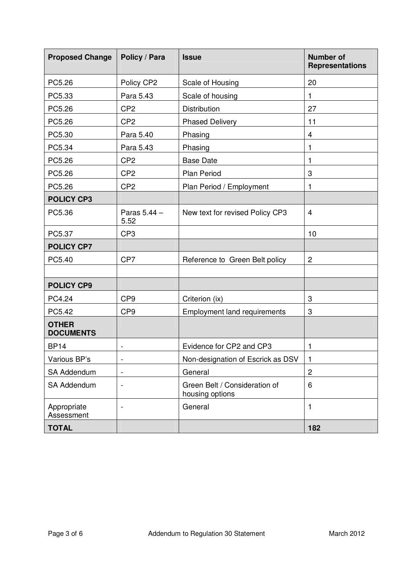| <b>Proposed Change</b>           | Policy / Para                | <b>Issue</b>                                     | <b>Number of</b><br><b>Representations</b> |
|----------------------------------|------------------------------|--------------------------------------------------|--------------------------------------------|
| PC5.26                           | Policy CP2                   | Scale of Housing                                 | 20                                         |
| PC5.33                           | Para 5.43                    | Scale of housing                                 | 1                                          |
| PC5.26                           | CP <sub>2</sub>              | Distribution                                     | 27                                         |
| PC5.26                           | CP <sub>2</sub>              | <b>Phased Delivery</b>                           | 11                                         |
| PC5.30                           | Para 5.40                    | Phasing                                          | 4                                          |
| PC5.34                           | Para 5.43                    | Phasing                                          | 1                                          |
| PC5.26                           | CP <sub>2</sub>              | <b>Base Date</b>                                 | 1                                          |
| PC5.26                           | CP <sub>2</sub>              | <b>Plan Period</b>                               | 3                                          |
| PC5.26                           | CP <sub>2</sub>              | Plan Period / Employment                         | 1                                          |
| <b>POLICY CP3</b>                |                              |                                                  |                                            |
| PC5.36                           | Paras 5.44 -<br>5.52         | New text for revised Policy CP3                  | $\overline{4}$                             |
| PC5.37                           | CP <sub>3</sub>              |                                                  | 10                                         |
| <b>POLICY CP7</b>                |                              |                                                  |                                            |
| PC5.40                           | CP7                          | Reference to Green Belt policy                   | $\overline{c}$                             |
|                                  |                              |                                                  |                                            |
| <b>POLICY CP9</b>                |                              |                                                  |                                            |
| PC4.24                           | CP <sub>9</sub>              | Criterion (ix)                                   | 3                                          |
| PC5.42                           | CP <sub>9</sub>              | <b>Employment land requirements</b>              | 3                                          |
| <b>OTHER</b><br><b>DOCUMENTS</b> |                              |                                                  |                                            |
| <b>BP14</b>                      | $\overline{\phantom{a}}$     | Evidence for CP2 and CP3                         | 1                                          |
| Various BP's                     | $\overline{\phantom{a}}$     | Non-designation of Escrick as DSV                | $\mathbf{1}$                               |
| SA Addendum                      | $\qquad \qquad \blacksquare$ | General                                          | $\overline{c}$                             |
| <b>SA Addendum</b>               | $\overline{\phantom{a}}$     | Green Belt / Consideration of<br>housing options | 6                                          |
| Appropriate<br>Assessment        | $\overline{\phantom{a}}$     | General                                          | 1                                          |
| <b>TOTAL</b>                     |                              |                                                  | 182                                        |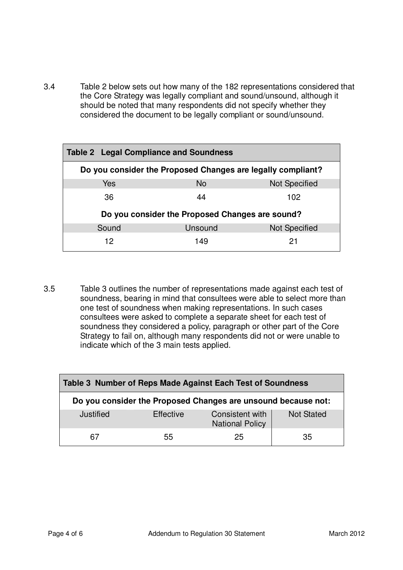3.4 Table 2 below sets out how many of the 182 representations considered that the Core Strategy was legally compliant and sound/unsound, although it should be noted that many respondents did not specify whether they considered the document to be legally compliant or sound/unsound.

| <b>Table 2 Legal Compliance and Soundness</b>               |           |                      |  |  |  |
|-------------------------------------------------------------|-----------|----------------------|--|--|--|
| Do you consider the Proposed Changes are legally compliant? |           |                      |  |  |  |
| Yes                                                         | <b>No</b> | <b>Not Specified</b> |  |  |  |
| 36                                                          | 44        | 102                  |  |  |  |
| Do you consider the Proposed Changes are sound?             |           |                      |  |  |  |
| Sound                                                       | Unsound   | <b>Not Specified</b> |  |  |  |
| 12                                                          | 149       | 21                   |  |  |  |

3.5 Table 3 outlines the number of representations made against each test of soundness, bearing in mind that consultees were able to select more than one test of soundness when making representations. In such cases consultees were asked to complete a separate sheet for each test of soundness they considered a policy, paragraph or other part of the Core Strategy to fail on, although many respondents did not or were unable to indicate which of the 3 main tests applied.

| Table 3 Number of Reps Made Against Each Test of Soundness    |                  |                                           |                   |  |  |  |
|---------------------------------------------------------------|------------------|-------------------------------------------|-------------------|--|--|--|
| Do you consider the Proposed Changes are unsound because not: |                  |                                           |                   |  |  |  |
| Justified                                                     | <b>Effective</b> | Consistent with<br><b>National Policy</b> | <b>Not Stated</b> |  |  |  |
| 67                                                            | 55               | 25                                        | 35                |  |  |  |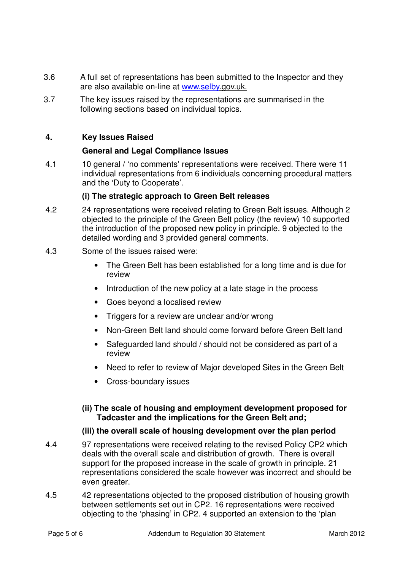- 3.6 A full set of representations has been submitted to the Inspector and they are also available on-line at www.selby.gov.uk.
- 3.7 The key issues raised by the representations are summarised in the following sections based on individual topics.

## **4. Key Issues Raised**

### **General and Legal Compliance Issues**

4.1 10 general / 'no comments' representations were received. There were 11 individual representations from 6 individuals concerning procedural matters and the 'Duty to Cooperate'.

#### **(i) The strategic approach to Green Belt releases**

- 4.2 24 representations were received relating to Green Belt issues. Although 2 objected to the principle of the Green Belt policy (the review) 10 supported the introduction of the proposed new policy in principle. 9 objected to the detailed wording and 3 provided general comments.
- 4.3 Some of the issues raised were:
	- The Green Belt has been established for a long time and is due for review
	- Introduction of the new policy at a late stage in the process
	- Goes beyond a localised review
	- Triggers for a review are unclear and/or wrong
	- Non-Green Belt land should come forward before Green Belt land
	- Safeguarded land should / should not be considered as part of a review
	- Need to refer to review of Major developed Sites in the Green Belt
	- Cross-boundary issues

### **(ii) The scale of housing and employment development proposed for Tadcaster and the implications for the Green Belt and;**

### **(iii) the overall scale of housing development over the plan period**

- 4.4 97 representations were received relating to the revised Policy CP2 which deals with the overall scale and distribution of growth. There is overall support for the proposed increase in the scale of growth in principle. 21 representations considered the scale however was incorrect and should be even greater.
- 4.5 42 representations objected to the proposed distribution of housing growth between settlements set out in CP2. 16 representations were received objecting to the 'phasing' in CP2. 4 supported an extension to the 'plan